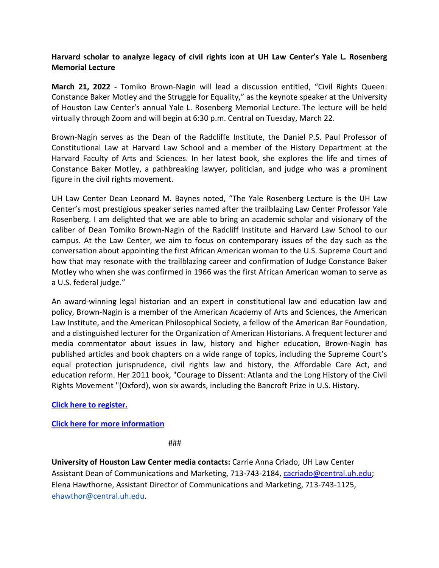# **Harvard scholar to analyze legacy of civil rights icon at UH Law Center's Yale L. Rosenberg Memorial Lecture**

**March 21, 2022 -** Tomiko Brown-Nagin will lead a discussion entitled, "Civil Rights Queen: Constance Baker Motley and the Struggle for Equality," as the keynote speaker at the University of Houston Law Center's annual Yale L. Rosenberg Memorial Lecture. The lecture will be held virtually through Zoom and will begin at 6:30 p.m. Central on Tuesday, March 22.

Brown-Nagin serves as the Dean of the Radcliffe Institute, the Daniel P.S. Paul Professor of Constitutional Law at Harvard Law School and a member of the History Department at the Harvard Faculty of Arts and Sciences. In her latest book, she explores the life and times of Constance Baker Motley, a pathbreaking lawyer, politician, and judge who was a prominent figure in the civil rights movement.

UH Law Center Dean Leonard M. Baynes noted, "The Yale Rosenberg Lecture is the UH Law Center's most prestigious speaker series named after the trailblazing Law Center Professor Yale Rosenberg. I am delighted that we are able to bring an academic scholar and visionary of the caliber of Dean Tomiko Brown-Nagin of the Radcliff Institute and Harvard Law School to our campus. At the Law Center, we aim to focus on contemporary issues of the day such as the conversation about appointing the first African American woman to the U.S. Supreme Court and how that may resonate with the trailblazing career and confirmation of Judge Constance Baker Motley who when she was confirmed in 1966 was the first African American woman to serve as a U.S. federal judge."

An award-winning legal historian and an expert in constitutional law and education law and policy, Brown-Nagin is a member of the American Academy of Arts and Sciences, the American Law Institute, and the American Philosophical Society, a fellow of the American Bar Foundation, and a distinguished lecturer for the Organization of American Historians. A frequent lecturer and media commentator about issues in law, history and higher education, Brown-Nagin has published articles and book chapters on a wide range of topics, including the Supreme Court's equal protection jurisprudence, civil rights law and history, the Affordable Care Act, and education reform. Her 2011 book, "Courage to Dissent: Atlanta and the Long History of the Civil Rights Movement "(Oxford), won six awards, including the Bancroft Prize in U.S. History.

## **[Click here to register.](https://urldefense.com/v3/__https:/zoom.us/webinar/register/WN_2gjAnXejSPa3XcgSLljBYg__;!!LkSTlj0I!DMMGvJFJwOiHQA3aHAo8L1GzTEen50OO5K2juTzOC3PvOCBkNe0de0UWpkef0E79j0mNKL9Jjv8Kfk1tnzHA_qBZtUc$)**

## **[Click here for more information](https://law.uh.edu/rosenberg/)**

###

**University of Houston Law Center media contacts:** Carrie Anna Criado, UH Law Center Assistant Dean of Communications and Marketing, 713-743-2184, [cacriado@central.uh.edu;](mailto:cacriado@central.uh.edu) Elena Hawthorne, Assistant Director of Communications and Marketing, 713-743-1125, ehawthor@central.uh.edu.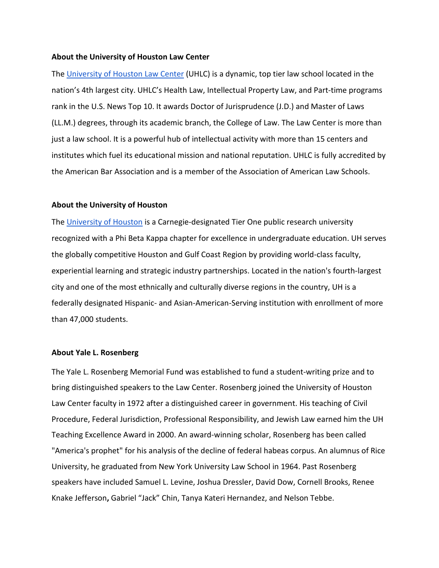#### **About the University of Houston Law Center**

Th[e](https://law.uh.edu/) [University of Houston Law Center](https://law.uh.edu/) (UHLC) is a dynamic, top tier law school located in the nation's 4th largest city. UHLC's Health Law, Intellectual Property Law, and Part-time programs rank in the U.S. News Top 10. It awards Doctor of Jurisprudence (J.D.) and Master of Laws (LL.M.) degrees, through its academic branch, the College of Law. The Law Center is more than just a law school. It is a powerful hub of intellectual activity with more than 15 centers and institutes which fuel its educational mission and national reputation. UHLC is fully accredited by the American Bar Association and is a member of the Association of American Law Schools.

#### **About the University of Houston**

Th[e](https://uh.edu/) [University of Houston](https://uh.edu/) is a Carnegie-designated Tier One public research university recognized with a Phi Beta Kappa chapter for excellence in undergraduate education. UH serves the globally competitive Houston and Gulf Coast Region by providing world-class faculty, experiential learning and strategic industry partnerships. Located in the nation's fourth-largest city and one of the most ethnically and culturally diverse regions in the country, UH is a federally designated Hispanic- and Asian-American-Serving institution with enrollment of more than 47,000 students.

### **About Yale L. Rosenberg**

The Yale L. Rosenberg Memorial Fund was established to fund a student-writing prize and to bring distinguished speakers to the Law Center. Rosenberg joined the University of Houston Law Center faculty in 1972 after a distinguished career in government. His teaching of Civil Procedure, Federal Jurisdiction, Professional Responsibility, and Jewish Law earned him the UH Teaching Excellence Award in 2000. An award-winning scholar, Rosenberg has been called "America's prophet" for his analysis of the decline of federal habeas corpus. An alumnus of Rice University, he graduated from New York University Law School in 1964. Past Rosenberg speakers have included Samuel L. Levine, Joshua Dressler, David Dow, Cornell Brooks, Renee Knake Jefferson**,** Gabriel "Jack" Chin, Tanya Kateri Hernandez, and Nelson Tebbe.